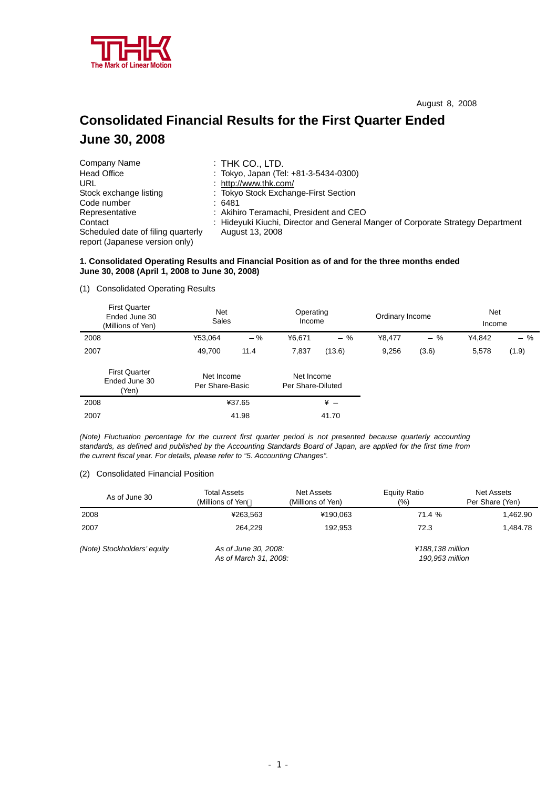

# **Consolidated Financial Results for the First Quarter Ended June 30, 2008**

| Company Name                                                         | $:$ THK CO., LTD.                                                               |
|----------------------------------------------------------------------|---------------------------------------------------------------------------------|
| <b>Head Office</b>                                                   | : Tokyo, Japan (Tel: +81-3-5434-0300)                                           |
| URL                                                                  | : http://www.thk.com/                                                           |
| Stock exchange listing                                               | : Tokyo Stock Exchange-First Section                                            |
| Code number                                                          | : 6481                                                                          |
| Representative                                                       | : Akihiro Teramachi, President and CEO                                          |
| Contact                                                              | : Hideyuki Kiuchi, Director and General Manger of Corporate Strategy Department |
| Scheduled date of filing quarterly<br>report (Japanese version only) | August 13, 2008                                                                 |

### **1. Consolidated Operating Results and Financial Position as of and for the three months ended June 30, 2008 (April 1, 2008 to June 30, 2008)**

(1) Consolidated Operating Results

| <b>First Quarter</b><br>Ended June 30<br>(Millions of Yen) | <b>Net</b><br>Sales           |        | Operating<br>Income             |        | Ordinary Income |       | <b>Net</b><br>Income |       |
|------------------------------------------------------------|-------------------------------|--------|---------------------------------|--------|-----------------|-------|----------------------|-------|
| 2008                                                       | ¥53,064                       | %      | ¥6,671                          | %      | ¥8.477          | $\%$  | ¥4,842               | %     |
| 2007                                                       | 49,700                        | 11.4   | 7,837                           | (13.6) | 9,256           | (3.6) | 5,578                | (1.9) |
| <b>First Quarter</b><br>Ended June 30<br>(Yen)             | Net Income<br>Per Share-Basic |        | Net Income<br>Per Share-Diluted |        |                 |       |                      |       |
| 2008                                                       |                               | ¥37.65 |                                 | ¥      |                 |       |                      |       |
| 2007                                                       |                               | 41.98  |                                 | 41.70  |                 |       |                      |       |

*(Note) Fluctuation percentage for the current first quarter period is not presented because quarterly accounting standards, as defined and published by the Accounting Standards Board of Japan, are applied for the first time from the current fiscal year. For details, please refer to "5. Accounting Changes".*

### (2) Consolidated Financial Position

| As of June 30               | <b>Total Assets</b><br>(Millions of Yen)      | <b>Net Assets</b><br>(Millions of Yen) | Equity Ratio<br>(%)                 | Net Assets<br>Per Share (Yen) |
|-----------------------------|-----------------------------------------------|----------------------------------------|-------------------------------------|-------------------------------|
| 2008                        | ¥263.563                                      | ¥190.063                               | 71.4 %                              | 1,462.90                      |
| 2007                        | 264.229                                       | 192.953                                | 72.3                                | 1.484.78                      |
| (Note) Stockholders' equity | As of June 30, 2008:<br>As of March 31, 2008: |                                        | ¥188,138 million<br>190,953 million |                               |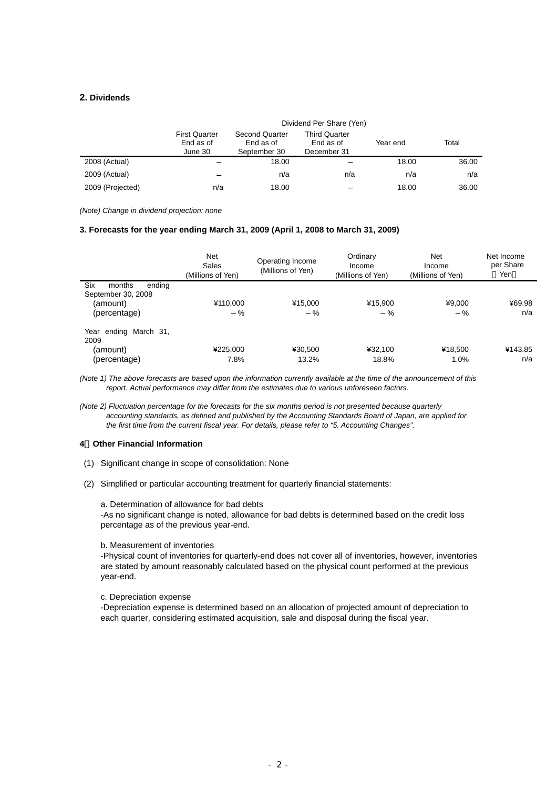### **2. Dividends**

|                  | Dividend Per Share (Yen)                     |                                                    |                                                  |          |       |
|------------------|----------------------------------------------|----------------------------------------------------|--------------------------------------------------|----------|-------|
|                  | <b>First Quarter</b><br>End as of<br>June 30 | <b>Second Quarter</b><br>End as of<br>September 30 | <b>Third Quarter</b><br>End as of<br>December 31 | Year end | Total |
| 2008 (Actual)    |                                              | 18.00                                              |                                                  | 18.00    | 36.00 |
| 2009 (Actual)    |                                              | n/a                                                | n/a                                              | n/a      | n/a   |
| 2009 (Projected) | n/a                                          | 18.00                                              |                                                  | 18.00    | 36.00 |

*(Note) Change in dividend projection: none* 

#### **3. Forecasts for the year ending March 31, 2009 (April 1, 2008 to March 31, 2009)**

|                                                           | <b>Net</b><br>Sales<br>(Millions of Yen) | Operating Income<br>(Millions of Yen) | Ordinary<br>Income<br>(Millions of Yen) | Net<br>Income<br>(Millions of Yen) | Net Income<br>per Share<br>Yen |
|-----------------------------------------------------------|------------------------------------------|---------------------------------------|-----------------------------------------|------------------------------------|--------------------------------|
| Six<br>months<br>ending<br>September 30, 2008<br>(amount) | ¥110,000                                 | ¥15.000                               | ¥15.900                                 | ¥9.000                             | ¥69.98                         |
| (percentage)                                              | %                                        | %                                     | %                                       | %                                  | n/a                            |
| Year ending March 31,<br>2009                             |                                          |                                       |                                         |                                    |                                |
| (amount)<br>(percentage)                                  | ¥225,000<br>7.8%                         | ¥30.500<br>13.2%                      | ¥32,100<br>18.8%                        | ¥18.500<br>1.0%                    | ¥143.85<br>n/a                 |

*(Note 1) The above forecasts are based upon the information currently available at the time of the announcement of this report. Actual performance may differ from the estimates due to various unforeseen factors.* 

*(Note 2) Fluctuation percentage for the forecasts for the six months period is not presented because quarterly accounting standards, as defined and published by the Accounting Standards Board of Japan, are applied for the first time from the current fiscal year. For details, please refer to "5. Accounting Changes".*

#### **4**.**Other Financial Information**

- (1) Significant change in scope of consolidation: None
- (2) Simplified or particular accounting treatment for quarterly financial statements:

a. Determination of allowance for bad debts

-As no significant change is noted, allowance for bad debts is determined based on the credit loss percentage as of the previous year-end.

#### b. Measurement of inventories

-Physical count of inventories for quarterly-end does not cover all of inventories, however, inventories are stated by amount reasonably calculated based on the physical count performed at the previous year-end.

#### c. Depreciation expense

-Depreciation expense is determined based on an allocation of projected amount of depreciation to each quarter, considering estimated acquisition, sale and disposal during the fiscal year.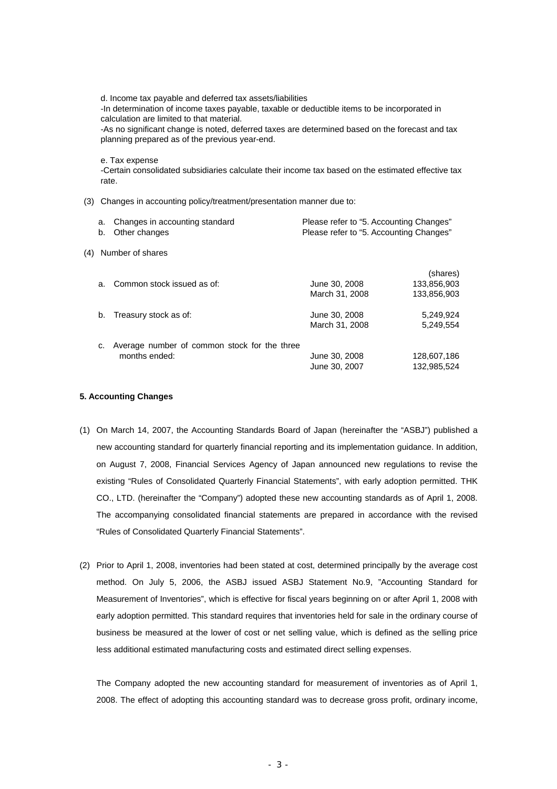d. Income tax payable and deferred tax assets/liabilities -In determination of income taxes payable, taxable or deductible items to be incorporated in calculation are limited to that material. -As no significant change is noted, deferred taxes are determined based on the forecast and tax planning prepared as of the previous year-end.

e. Tax expense

-Certain consolidated subsidiaries calculate their income tax based on the estimated effective tax rate.

(3) Changes in accounting policy/treatment/presentation manner due to:

| a. Changes in accounting standard<br>Other changes<br>b. | Please refer to "5. Accounting Changes"<br>Please refer to "5. Accounting Changes" |
|----------------------------------------------------------|------------------------------------------------------------------------------------|
| (4) Number of shares                                     |                                                                                    |
| Common stock issued as of:<br>a.                         | (shares)<br>June 30, 2008<br>133,856,903<br>March 31, 2008<br>133,856,903          |
| Treasury stock as of:<br>b.                              | 5.249.924<br>June 30, 2008                                                         |

| c. Average number of common stock for the three |               |             |
|-------------------------------------------------|---------------|-------------|
| months ended:                                   | June 30, 2008 | 128.607.186 |
|                                                 | June 30, 2007 | 132.985.524 |

March 31, 2008 5,249,554

#### **5. Accounting Changes**

- (1) On March 14, 2007, the Accounting Standards Board of Japan (hereinafter the "ASBJ") published a new accounting standard for quarterly financial reporting and its implementation guidance. In addition, on August 7, 2008, Financial Services Agency of Japan announced new regulations to revise the existing "Rules of Consolidated Quarterly Financial Statements", with early adoption permitted. THK CO., LTD. (hereinafter the "Company") adopted these new accounting standards as of April 1, 2008. The accompanying consolidated financial statements are prepared in accordance with the revised "Rules of Consolidated Quarterly Financial Statements".
- (2) Prior to April 1, 2008, inventories had been stated at cost, determined principally by the average cost method. On July 5, 2006, the ASBJ issued ASBJ Statement No.9, "Accounting Standard for Measurement of Inventories", which is effective for fiscal years beginning on or after April 1, 2008 with early adoption permitted. This standard requires that inventories held for sale in the ordinary course of business be measured at the lower of cost or net selling value, which is defined as the selling price less additional estimated manufacturing costs and estimated direct selling expenses.

The Company adopted the new accounting standard for measurement of inventories as of April 1, 2008. The effect of adopting this accounting standard was to decrease gross profit, ordinary income,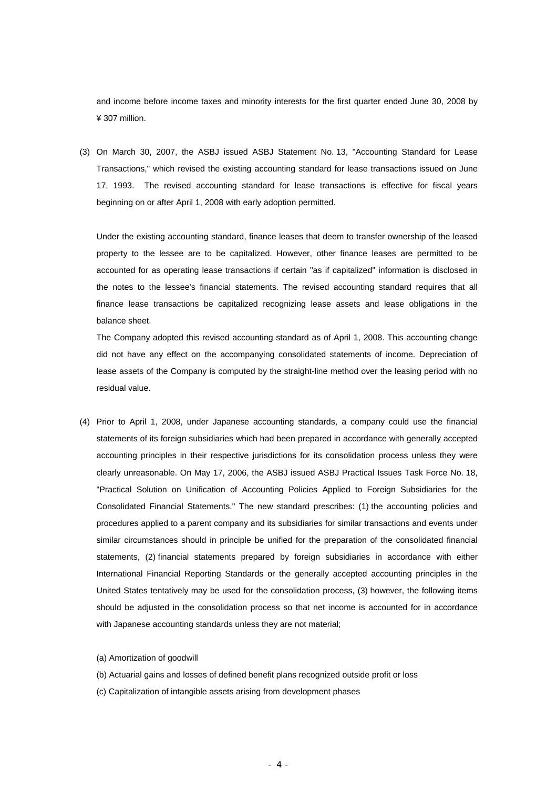and income before income taxes and minority interests for the first quarter ended June 30, 2008 by ¥ 307 million.

(3) On March 30, 2007, the ASBJ issued ASBJ Statement No. 13, "Accounting Standard for Lease Transactions," which revised the existing accounting standard for lease transactions issued on June 17, 1993. The revised accounting standard for lease transactions is effective for fiscal years beginning on or after April 1, 2008 with early adoption permitted.

Under the existing accounting standard, finance leases that deem to transfer ownership of the leased property to the lessee are to be capitalized. However, other finance leases are permitted to be accounted for as operating lease transactions if certain "as if capitalized" information is disclosed in the notes to the lessee's financial statements. The revised accounting standard requires that all finance lease transactions be capitalized recognizing lease assets and lease obligations in the balance sheet.

The Company adopted this revised accounting standard as of April 1, 2008. This accounting change did not have any effect on the accompanying consolidated statements of income. Depreciation of lease assets of the Company is computed by the straight-line method over the leasing period with no residual value.

(4) Prior to April 1, 2008, under Japanese accounting standards, a company could use the financial statements of its foreign subsidiaries which had been prepared in accordance with generally accepted accounting principles in their respective jurisdictions for its consolidation process unless they were clearly unreasonable. On May 17, 2006, the ASBJ issued ASBJ Practical Issues Task Force No. 18, "Practical Solution on Unification of Accounting Policies Applied to Foreign Subsidiaries for the Consolidated Financial Statements." The new standard prescribes: (1) the accounting policies and procedures applied to a parent company and its subsidiaries for similar transactions and events under similar circumstances should in principle be unified for the preparation of the consolidated financial statements, (2) financial statements prepared by foreign subsidiaries in accordance with either International Financial Reporting Standards or the generally accepted accounting principles in the United States tentatively may be used for the consolidation process, (3) however, the following items should be adjusted in the consolidation process so that net income is accounted for in accordance with Japanese accounting standards unless they are not material;

(a) Amortization of goodwill

(b) Actuarial gains and losses of defined benefit plans recognized outside profit or loss

(c) Capitalization of intangible assets arising from development phases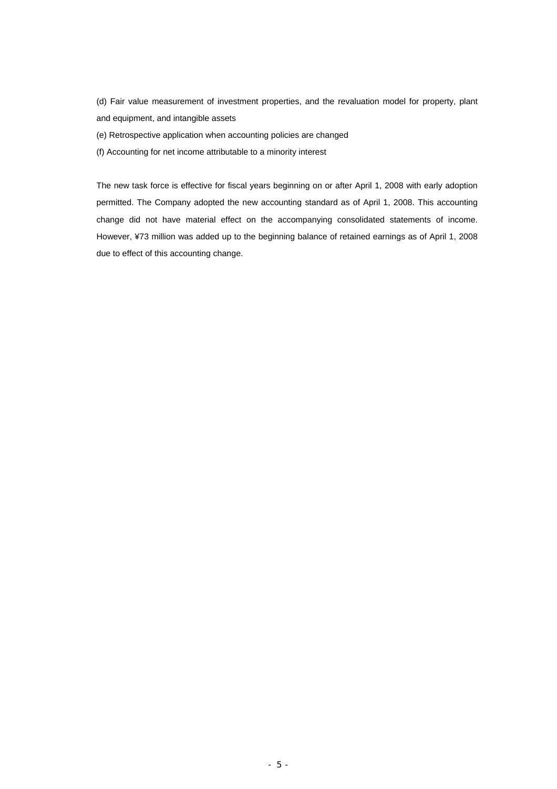(d) Fair value measurement of investment properties, and the revaluation model for property, plant and equipment, and intangible assets

- (e) Retrospective application when accounting policies are changed
- (f) Accounting for net income attributable to a minority interest

The new task force is effective for fiscal years beginning on or after April 1, 2008 with early adoption permitted. The Company adopted the new accounting standard as of April 1, 2008. This accounting change did not have material effect on the accompanying consolidated statements of income. However, ¥73 million was added up to the beginning balance of retained earnings as of April 1, 2008 due to effect of this accounting change.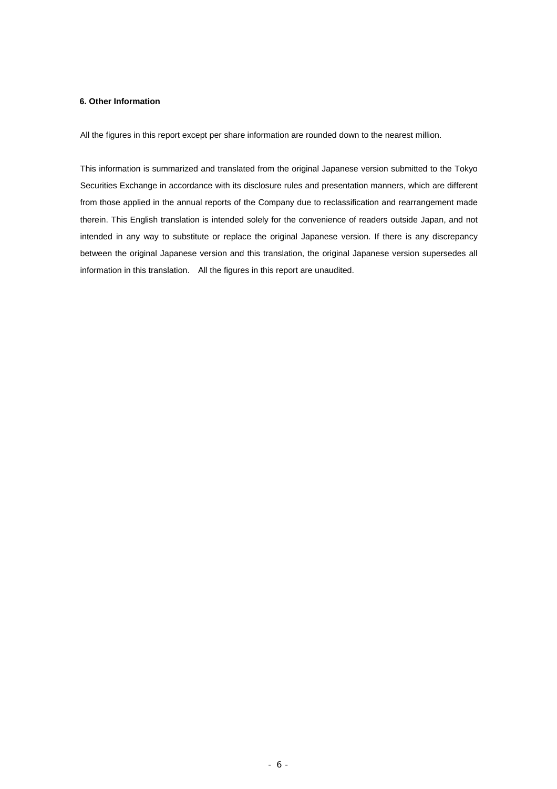#### **6. Other Information**

All the figures in this report except per share information are rounded down to the nearest million.

This information is summarized and translated from the original Japanese version submitted to the Tokyo Securities Exchange in accordance with its disclosure rules and presentation manners, which are different from those applied in the annual reports of the Company due to reclassification and rearrangement made therein. This English translation is intended solely for the convenience of readers outside Japan, and not intended in any way to substitute or replace the original Japanese version. If there is any discrepancy between the original Japanese version and this translation, the original Japanese version supersedes all information in this translation. All the figures in this report are unaudited.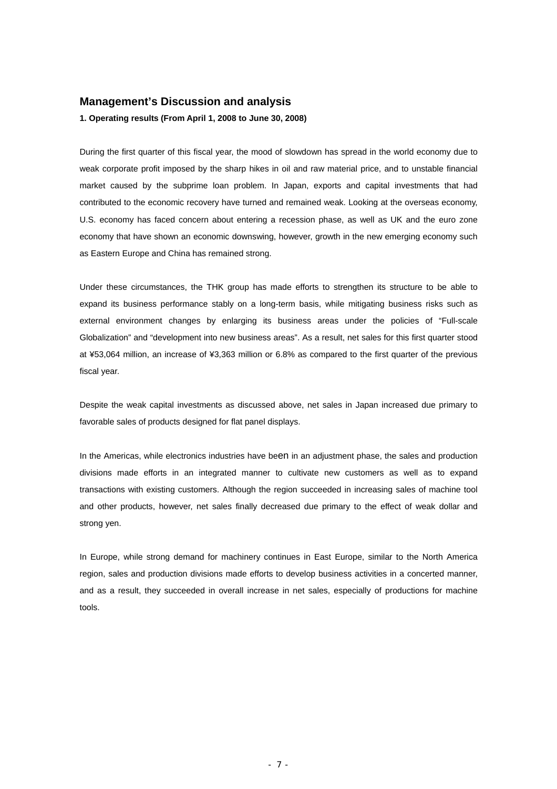## **Management's Discussion and analysis**

**1. Operating results (From April 1, 2008 to June 30, 2008)** 

During the first quarter of this fiscal year, the mood of slowdown has spread in the world economy due to weak corporate profit imposed by the sharp hikes in oil and raw material price, and to unstable financial market caused by the subprime loan problem. In Japan, exports and capital investments that had contributed to the economic recovery have turned and remained weak. Looking at the overseas economy, U.S. economy has faced concern about entering a recession phase, as well as UK and the euro zone economy that have shown an economic downswing, however, growth in the new emerging economy such as Eastern Europe and China has remained strong.

Under these circumstances, the THK group has made efforts to strengthen its structure to be able to expand its business performance stably on a long-term basis, while mitigating business risks such as external environment changes by enlarging its business areas under the policies of "Full-scale Globalization" and "development into new business areas". As a result, net sales for this first quarter stood at ¥53,064 million, an increase of ¥3,363 million or 6.8% as compared to the first quarter of the previous fiscal year.

Despite the weak capital investments as discussed above, net sales in Japan increased due primary to favorable sales of products designed for flat panel displays.

In the Americas, while electronics industries have been in an adjustment phase, the sales and production divisions made efforts in an integrated manner to cultivate new customers as well as to expand transactions with existing customers. Although the region succeeded in increasing sales of machine tool and other products, however, net sales finally decreased due primary to the effect of weak dollar and strong yen.

In Europe, while strong demand for machinery continues in East Europe, similar to the North America region, sales and production divisions made efforts to develop business activities in a concerted manner, and as a result, they succeeded in overall increase in net sales, especially of productions for machine tools.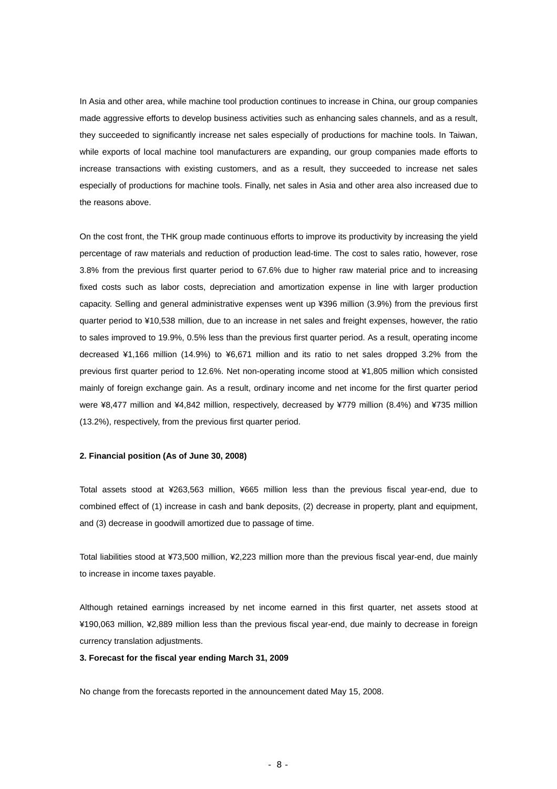In Asia and other area, while machine tool production continues to increase in China, our group companies made aggressive efforts to develop business activities such as enhancing sales channels, and as a result, they succeeded to significantly increase net sales especially of productions for machine tools. In Taiwan, while exports of local machine tool manufacturers are expanding, our group companies made efforts to increase transactions with existing customers, and as a result, they succeeded to increase net sales especially of productions for machine tools. Finally, net sales in Asia and other area also increased due to the reasons above.

On the cost front, the THK group made continuous efforts to improve its productivity by increasing the yield percentage of raw materials and reduction of production lead-time. The cost to sales ratio, however, rose 3.8% from the previous first quarter period to 67.6% due to higher raw material price and to increasing fixed costs such as labor costs, depreciation and amortization expense in line with larger production capacity. Selling and general administrative expenses went up ¥396 million (3.9%) from the previous first quarter period to ¥10,538 million, due to an increase in net sales and freight expenses, however, the ratio to sales improved to 19.9%, 0.5% less than the previous first quarter period. As a result, operating income decreased ¥1,166 million (14.9%) to ¥6,671 million and its ratio to net sales dropped 3.2% from the previous first quarter period to 12.6%. Net non-operating income stood at ¥1,805 million which consisted mainly of foreign exchange gain. As a result, ordinary income and net income for the first quarter period were ¥8,477 million and ¥4,842 million, respectively, decreased by ¥779 million (8.4%) and ¥735 million (13.2%), respectively, from the previous first quarter period.

#### **2. Financial position (As of June 30, 2008)**

Total assets stood at ¥263,563 million, ¥665 million less than the previous fiscal year-end, due to combined effect of (1) increase in cash and bank deposits, (2) decrease in property, plant and equipment, and (3) decrease in goodwill amortized due to passage of time.

Total liabilities stood at ¥73,500 million, ¥2,223 million more than the previous fiscal year-end, due mainly to increase in income taxes payable.

Although retained earnings increased by net income earned in this first quarter, net assets stood at ¥190,063 million, ¥2,889 million less than the previous fiscal year-end, due mainly to decrease in foreign currency translation adjustments.

#### **3. Forecast for the fiscal year ending March 31, 2009**

No change from the forecasts reported in the announcement dated May 15, 2008.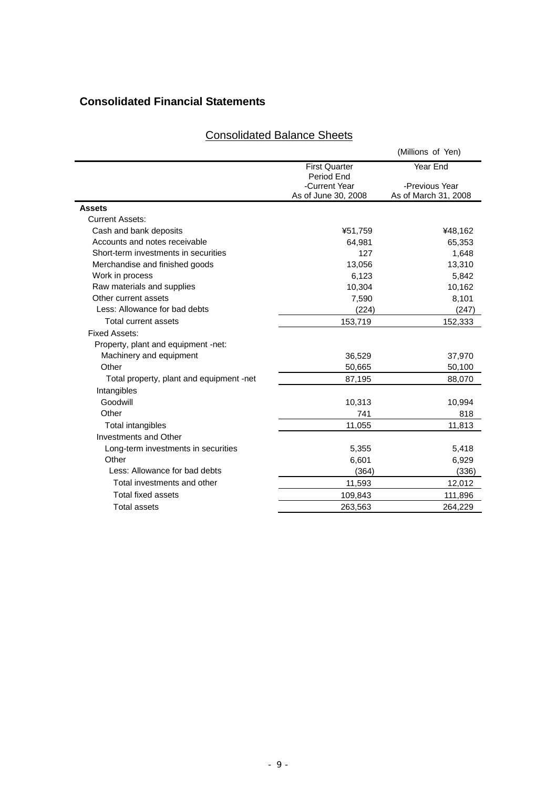## **Consolidated Financial Statements**

|                                          |                                      | (Millions of Yen)                      |
|------------------------------------------|--------------------------------------|----------------------------------------|
|                                          | <b>First Quarter</b><br>Period End   | Year End                               |
|                                          | -Current Year<br>As of June 30, 2008 | -Previous Year<br>As of March 31, 2008 |
| <b>Assets</b>                            |                                      |                                        |
| <b>Current Assets:</b>                   |                                      |                                        |
| Cash and bank deposits                   | ¥51,759                              | ¥48,162                                |
| Accounts and notes receivable            | 64,981                               | 65,353                                 |
| Short-term investments in securities     | 127                                  | 1,648                                  |
| Merchandise and finished goods           | 13,056                               | 13,310                                 |
| Work in process                          | 6,123                                | 5,842                                  |
| Raw materials and supplies               | 10,304                               | 10,162                                 |
| Other current assets                     | 7,590                                | 8,101                                  |
| Less: Allowance for bad debts            | (224)                                | (247)                                  |
| Total current assets                     | 153,719                              | 152,333                                |
| <b>Fixed Assets:</b>                     |                                      |                                        |
| Property, plant and equipment -net:      |                                      |                                        |
| Machinery and equipment                  | 36,529                               | 37,970                                 |
| Other                                    | 50,665                               | 50,100                                 |
| Total property, plant and equipment -net | 87,195                               | 88,070                                 |
| Intangibles                              |                                      |                                        |
| Goodwill                                 | 10,313                               | 10,994                                 |
| Other                                    | 741                                  | 818                                    |
| Total intangibles                        | 11,055                               | 11,813                                 |
| Investments and Other                    |                                      |                                        |
| Long-term investments in securities      | 5,355                                | 5,418                                  |
| Other                                    | 6,601                                | 6,929                                  |
| Less: Allowance for bad debts            | (364)                                | (336)                                  |
| Total investments and other              | 11,593                               | 12,012                                 |
| Total fixed assets                       | 109,843                              | 111,896                                |
| <b>Total assets</b>                      | 263,563                              | 264,229                                |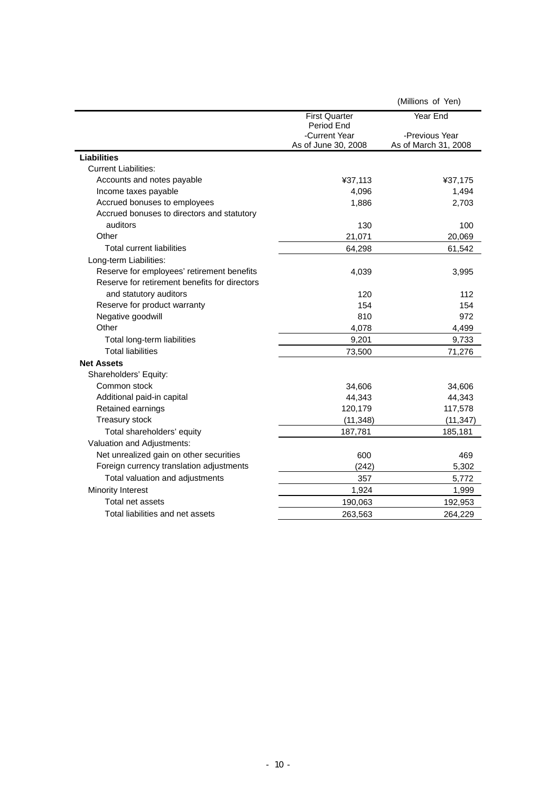|                                               |                                      | (Millions of Yen)                      |
|-----------------------------------------------|--------------------------------------|----------------------------------------|
|                                               | <b>First Quarter</b><br>Period End   | Year End                               |
|                                               | -Current Year<br>As of June 30, 2008 | -Previous Year<br>As of March 31, 2008 |
| <b>Liabilities</b>                            |                                      |                                        |
| <b>Current Liabilities:</b>                   |                                      |                                        |
| Accounts and notes payable                    | ¥37,113                              | ¥37,175                                |
| Income taxes payable                          | 4,096                                | 1,494                                  |
| Accrued bonuses to employees                  | 1,886                                | 2,703                                  |
| Accrued bonuses to directors and statutory    |                                      |                                        |
| auditors                                      | 130                                  | 100                                    |
| Other                                         | 21,071                               | 20,069                                 |
| <b>Total current liabilities</b>              | 64,298                               | 61,542                                 |
| Long-term Liabilities:                        |                                      |                                        |
| Reserve for employees' retirement benefits    | 4,039                                | 3,995                                  |
| Reserve for retirement benefits for directors |                                      |                                        |
| and statutory auditors                        | 120                                  | 112                                    |
| Reserve for product warranty                  | 154                                  | 154                                    |
| Negative goodwill                             | 810                                  | 972                                    |
| Other                                         | 4,078                                | 4,499                                  |
| Total long-term liabilities                   | 9,201                                | 9,733                                  |
| <b>Total liabilities</b>                      | 73,500                               | 71,276                                 |
| <b>Net Assets</b>                             |                                      |                                        |
| Shareholders' Equity:                         |                                      |                                        |
| Common stock                                  | 34,606                               | 34,606                                 |
| Additional paid-in capital                    | 44,343                               | 44,343                                 |
| Retained earnings                             | 120,179                              | 117,578                                |
| <b>Treasury stock</b>                         | (11, 348)                            | (11, 347)                              |
| Total shareholders' equity                    | 187,781                              | 185,181                                |
| Valuation and Adjustments:                    |                                      |                                        |
| Net unrealized gain on other securities       | 600                                  | 469                                    |
| Foreign currency translation adjustments      | (242)                                | 5,302                                  |
| Total valuation and adjustments               | 357                                  | 5,772                                  |
| Minority Interest                             | 1,924                                | 1,999                                  |
| Total net assets                              | 190,063                              | 192,953                                |
| Total liabilities and net assets              | 263.563                              | 264,229                                |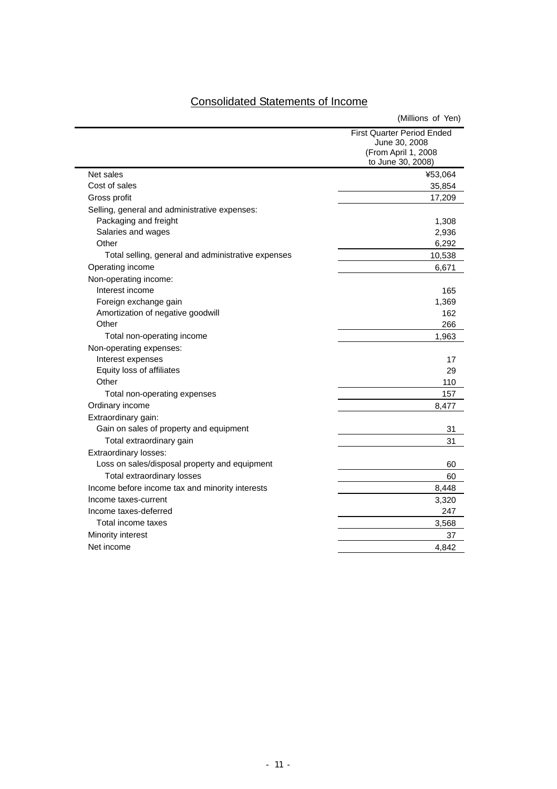|                                                    | (Millions of Yen)                                                                              |
|----------------------------------------------------|------------------------------------------------------------------------------------------------|
|                                                    | <b>First Quarter Period Ended</b><br>June 30, 2008<br>(From April 1, 2008<br>to June 30, 2008) |
| Net sales                                          | ¥53,064                                                                                        |
| Cost of sales                                      | 35,854                                                                                         |
| Gross profit                                       | 17,209                                                                                         |
| Selling, general and administrative expenses:      |                                                                                                |
| Packaging and freight                              | 1,308                                                                                          |
| Salaries and wages                                 | 2,936                                                                                          |
| Other                                              | 6,292                                                                                          |
| Total selling, general and administrative expenses | 10,538                                                                                         |
| Operating income                                   | 6,671                                                                                          |
| Non-operating income:                              |                                                                                                |
| Interest income                                    | 165                                                                                            |
| Foreign exchange gain                              | 1,369                                                                                          |
| Amortization of negative goodwill                  | 162                                                                                            |
| Other                                              | 266                                                                                            |
| Total non-operating income                         | 1,963                                                                                          |
| Non-operating expenses:                            |                                                                                                |
| Interest expenses                                  | 17                                                                                             |
| Equity loss of affiliates                          | 29                                                                                             |
| Other                                              | 110                                                                                            |
| Total non-operating expenses                       | 157                                                                                            |
| Ordinary income                                    | 8,477                                                                                          |
| Extraordinary gain:                                |                                                                                                |
| Gain on sales of property and equipment            | 31                                                                                             |
| Total extraordinary gain                           | 31                                                                                             |
| <b>Extraordinary losses:</b>                       |                                                                                                |
| Loss on sales/disposal property and equipment      | 60                                                                                             |
| Total extraordinary losses                         | 60                                                                                             |
| Income before income tax and minority interests    | 8,448                                                                                          |
| Income taxes-current                               | 3,320                                                                                          |
| Income taxes-deferred                              | 247                                                                                            |
| Total income taxes                                 | 3,568                                                                                          |
| Minority interest                                  | 37                                                                                             |
| Net income                                         | 4.842                                                                                          |

# Consolidated Statements of Income

 $\overline{\phantom{0}}$